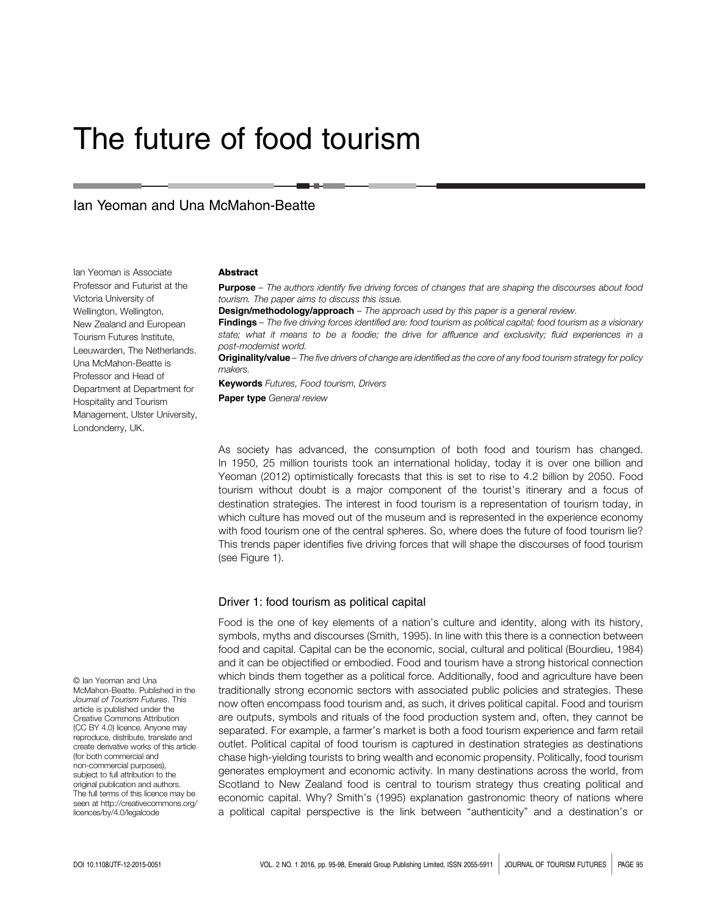# The future of food tourism

## Ian Yeoman and Una McMahon-Beatte

Ian Yeoman is Associate Professor and Futurist at the Victoria University of Wellington, Wellington, New Zealand and European Tourism Futures Institute, Leeuwarden, The Netherlands. Una McMahon-Beatte is Professor and Head of Department at Department for Hospitality and Tourism Management, Ulster University, Londonderry, UK.

#### Abstract

**Purpose** – The authors identify five driving forces of changes that are shaping the discourses about food tourism. The paper aims to discuss this issue.

**Design/methodology/approach** – The approach used by this paper is a general review.

Findings - The five driving forces identified are: food tourism as political capital; food tourism as a visionary state; what it means to be a foodie; the drive for affluence and exclusivity; fluid experiences in a post-modernist world.

Originality/value - The five drivers of change are identified as the core of any food tourism strategy for policy makers.

**Keywords** Futures, Food tourism, Drivers Paper type General review

As society has advanced, the consumption of both food and tourism has changed. In 1950, 25 million tourists took an international holiday, today it is over one billion and Yeoman (2012) optimistically forecasts that this is set to rise to 4.2 billion by 2050. Food tourism without doubt is a major component of the tourist's itinerary and a focus of destination strategies. The interest in food tourism is a representation of tourism today, in which culture has moved out of the museum and is represented in the experience economy with food tourism one of the central spheres. So, where does the future of food tourism lie? This trends paper identifies five driving forces that will shape the discourses of food tourism (see Figure 1).

#### Driver 1: food tourism as political capital

Food is the one of key elements of a nation's culture and identity, along with its history, symbols, myths and discourses (Smith, 1995). In line with this there is a connection between food and capital. Capital can be the economic, social, cultural and political (Bourdieu, 1984) and it can be objectified or embodied. Food and tourism have a strong historical connection which binds them together as a political force. Additionally, food and agriculture have been traditionally strong economic sectors with associated public policies and strategies. These now often encompass food tourism and, as such, it drives political capital. Food and tourism are outputs, symbols and rituals of the food production system and, often, they cannot be separated. For example, a farmer's market is both a food tourism experience and farm retail outlet. Political capital of food tourism is captured in destination strategies as destinations chase high-yielding tourists to bring wealth and economic propensity. Politically, food tourism generates employment and economic activity. In many destinations across the world, from Scotland to New Zealand food is central to tourism strategy thus creating political and economic capital. Why? Smith's (1995) explanation gastronomic theory of nations where a political capital perspective is the link between "authenticity" and a destination's or

© Ian Yeoman and Una McMahon-Beatte. Published in the Journal of Tourism Futures. This article is published under the Creative Commons Attribution (CC BY 4.0) licence. Anyone may reproduce, distribute, translate and create derivative works of this article (for both commercial and non-commercial purposes), subject to full attribution to the original publication and authors. The full terms of this licence may be seen at [http://creativecommons.org/](http://creativecommons.org/licences/by/4.0/legalcode) [licences/by/4.0/legalcode](http://creativecommons.org/licences/by/4.0/legalcode)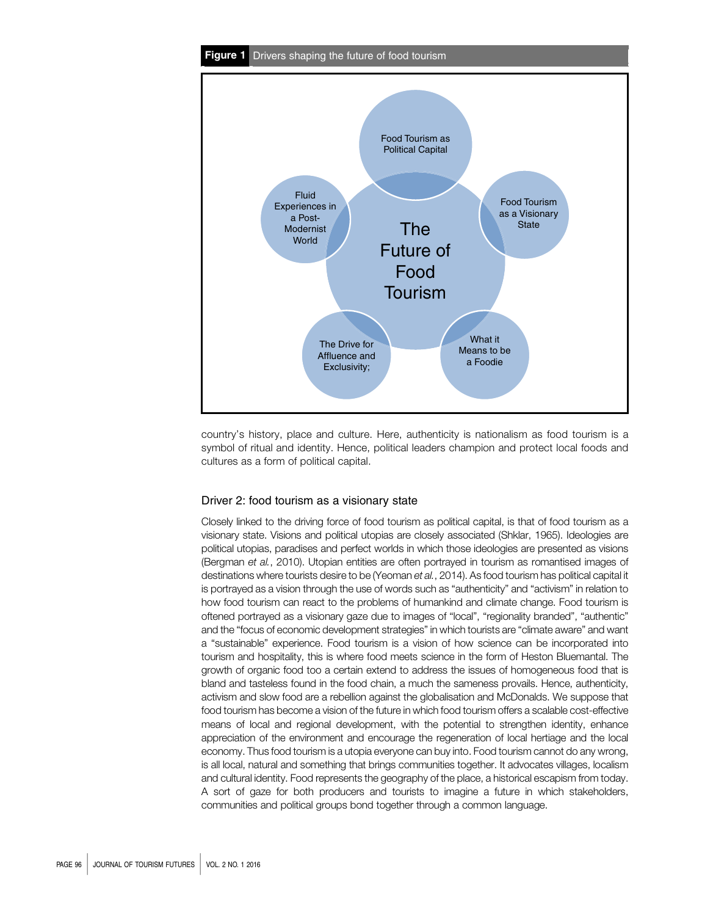

country's history, place and culture. Here, authenticity is nationalism as food tourism is a symbol of ritual and identity. Hence, political leaders champion and protect local foods and cultures as a form of political capital.

#### Driver 2: food tourism as a visionary state

Closely linked to the driving force of food tourism as political capital, is that of food tourism as a visionary state. Visions and political utopias are closely associated (Shklar, 1965). Ideologies are political utopias, paradises and perfect worlds in which those ideologies are presented as visions (Bergman et al., 2010). Utopian entities are often portrayed in tourism as romantised images of destinations where tourists desire to be (Yeoman et al., 2014). As food tourism has political capital it is portrayed as a vision through the use of words such as "authenticity" and "activism" in relation to how food tourism can react to the problems of humankind and climate change. Food tourism is oftened portrayed as a visionary gaze due to images of "local", "regionality branded", "authentic" and the "focus of economic development strategies" in which tourists are "climate aware" and want a "sustainable" experience. Food tourism is a vision of how science can be incorporated into tourism and hospitality, this is where food meets science in the form of Heston Bluemantal. The growth of organic food too a certain extend to address the issues of homogeneous food that is bland and tasteless found in the food chain, a much the sameness provails. Hence, authenticity, activism and slow food are a rebellion against the globalisation and McDonalds. We suppose that food tourism has become a vision of the future in which food tourism offers a scalable cost-effective means of local and regional development, with the potential to strengthen identity, enhance appreciation of the environment and encourage the regeneration of local hertiage and the local economy. Thus food tourism is a utopia everyone can buy into. Food tourism cannot do any wrong, is all local, natural and something that brings communities together. It advocates villages, localism and cultural identity. Food represents the geography of the place, a historical escapism from today. A sort of gaze for both producers and tourists to imagine a future in which stakeholders, communities and political groups bond together through a common language.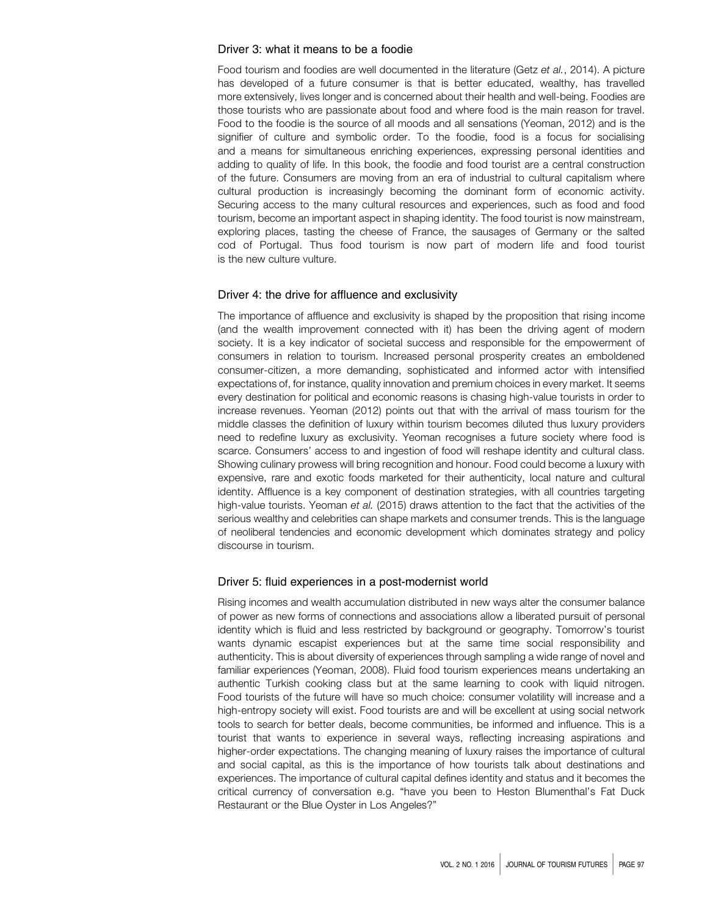#### Driver 3: what it means to be a foodie

Food tourism and foodies are well documented in the literature (Getz et al., 2014). A picture has developed of a future consumer is that is better educated, wealthy, has travelled more extensively, lives longer and is concerned about their health and well-being. Foodies are those tourists who are passionate about food and where food is the main reason for travel. Food to the foodie is the source of all moods and all sensations (Yeoman, 2012) and is the signifier of culture and symbolic order. To the foodie, food is a focus for socialising and a means for simultaneous enriching experiences, expressing personal identities and adding to quality of life. In this book, the foodie and food tourist are a central construction of the future. Consumers are moving from an era of industrial to cultural capitalism where cultural production is increasingly becoming the dominant form of economic activity. Securing access to the many cultural resources and experiences, such as food and food tourism, become an important aspect in shaping identity. The food tourist is now mainstream, exploring places, tasting the cheese of France, the sausages of Germany or the salted cod of Portugal. Thus food tourism is now part of modern life and food tourist is the new culture vulture.

#### Driver 4: the drive for affluence and exclusivity

The importance of affluence and exclusivity is shaped by the proposition that rising income (and the wealth improvement connected with it) has been the driving agent of modern society. It is a key indicator of societal success and responsible for the empowerment of consumers in relation to tourism. Increased personal prosperity creates an emboldened consumer-citizen, a more demanding, sophisticated and informed actor with intensified expectations of, for instance, quality innovation and premium choices in every market. It seems every destination for political and economic reasons is chasing high-value tourists in order to increase revenues. Yeoman (2012) points out that with the arrival of mass tourism for the middle classes the definition of luxury within tourism becomes diluted thus luxury providers need to redefine luxury as exclusivity. Yeoman recognises a future society where food is scarce. Consumers' access to and ingestion of food will reshape identity and cultural class. Showing culinary prowess will bring recognition and honour. Food could become a luxury with expensive, rare and exotic foods marketed for their authenticity, local nature and cultural identity. Affluence is a key component of destination strategies, with all countries targeting high-value tourists. Yeoman et al. (2015) draws attention to the fact that the activities of the serious wealthy and celebrities can shape markets and consumer trends. This is the language of neoliberal tendencies and economic development which dominates strategy and policy discourse in tourism.

#### Driver 5: fluid experiences in a post-modernist world

Rising incomes and wealth accumulation distributed in new ways alter the consumer balance of power as new forms of connections and associations allow a liberated pursuit of personal identity which is fluid and less restricted by background or geography. Tomorrow's tourist wants dynamic escapist experiences but at the same time social responsibility and authenticity. This is about diversity of experiences through sampling a wide range of novel and familiar experiences (Yeoman, 2008). Fluid food tourism experiences means undertaking an authentic Turkish cooking class but at the same learning to cook with liquid nitrogen. Food tourists of the future will have so much choice: consumer volatility will increase and a high-entropy society will exist. Food tourists are and will be excellent at using social network tools to search for better deals, become communities, be informed and influence. This is a tourist that wants to experience in several ways, reflecting increasing aspirations and higher-order expectations. The changing meaning of luxury raises the importance of cultural and social capital, as this is the importance of how tourists talk about destinations and experiences. The importance of cultural capital defines identity and status and it becomes the critical currency of conversation e.g. "have you been to Heston Blumenthal's Fat Duck Restaurant or the Blue Oyster in Los Angeles?"